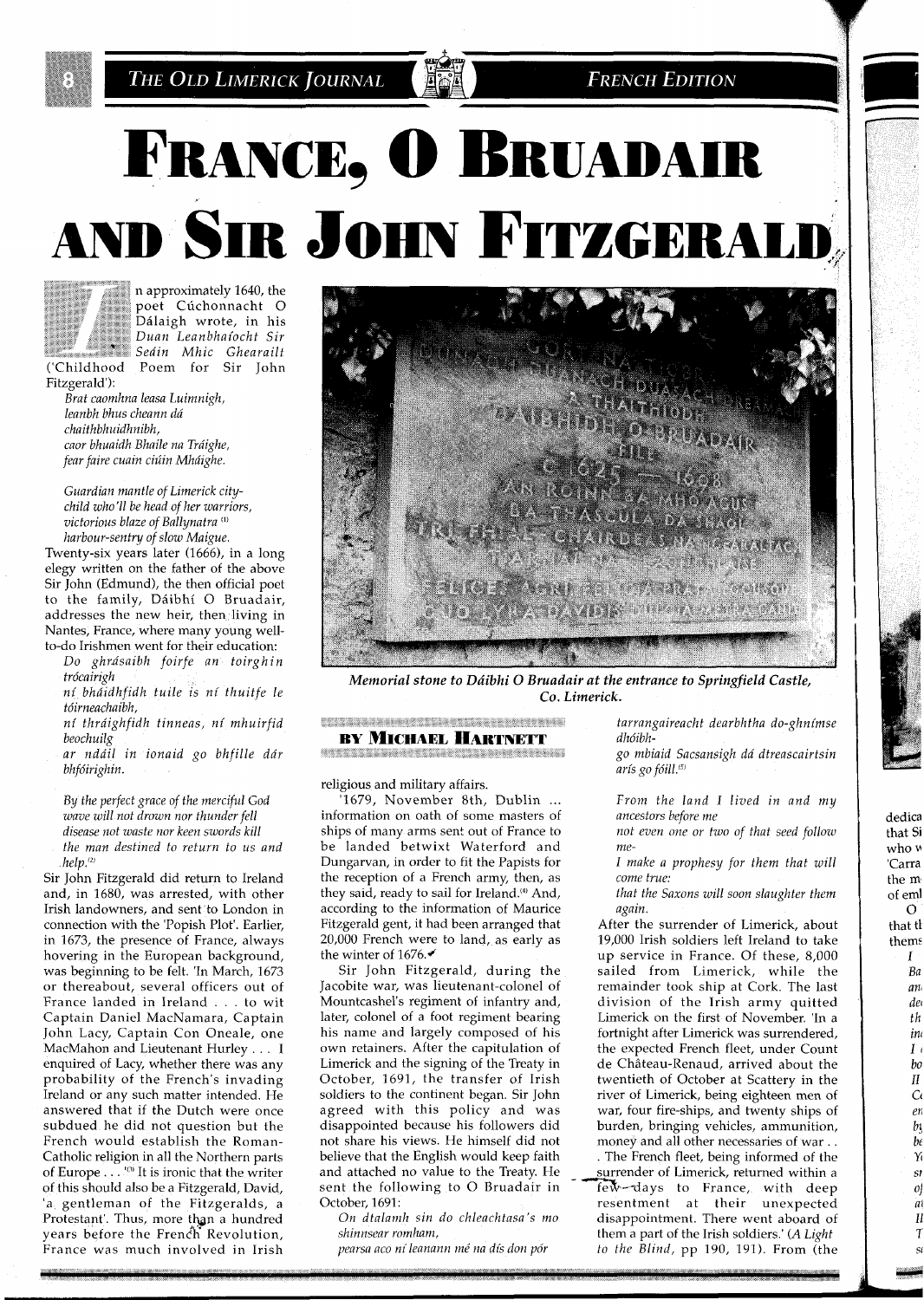

THE OLD LIMERICK JOURNAL

**FRENCH EDITION** 

# FRANCE, O BRUADAIR AND SIR JOHN FITZGERALD



('Childhood

n approximately 1640, the poet Cúchonnacht O Ddlaigh wrote, in his *an Leanbhaiocht Sir in Mhic Ghearailt*  Poem for Sir John

Fitzgerald'): *Brat caomhna leasa Luimnigh, leanbh bhus cheann da chaithbhuidhnibh, caor bhuaidh Bhaile na Tráighe, fear faire cuain ciuin Mhdighe.* 

Guardian mantle of Limerick city*chzld who'll be head of her warriors,*   $v$ *ictorious blaze of Ballynatra*<sup>(1)</sup> *harbour-sentry of slow Malgue* 

Twenty-six years later (1666), in a long elegy written on the father of the above Sir John (Edmund), the then official poet to the family, Dáibhí O Bruadair, addresses the new heir, then living in Nantes, France, where many young wellto-do Irishmen went for their education.

Do ghrásaibh foirfe an toirghin *trdcazrzgh* 

*ni bhdtdhfzdh tulle 1s ni thuztfe le*   $t$ óirneachaibh,

*ni thra'lghfldh tmneas, ni mhulrfld beochuzlg* 

*ar nda'll tn lonazd go bhfllle dar*   $bhfóirighin.$ 

By *the perfect grace of the merciful God wave will not drown nor thunder fell disease not waste nor keen swords kill the man destlned to return to us and help."'* 

Sir John Fitzgerald did return to Ireland and, in 1680, was arrested, with other Irish landowners, and sent to London in connection with the 'Popish Plot'. Earlier, in 1673, the presence of France, always hovering in the European background, was beginning to be felt. 'In March, 1673 or thereabout, several officers out of France landed in Ireland . . . to wit Captain Daniel MacNamara, Captain John Lacy, Captain Con Oneale, one MacMahon and Lieutenant Hurley . . . I enquired of Lacy, whether there was any probability of the French's invading Ireland or any such matter intended. He answered that if the Dutch were once subdued he did not question but the French would establish the Roman-Catholic religion in all the Northern parts of Europe . . . "" It is Ironic that the writer of this should also be a Fitzgerald, David, 'a gentleman of the Fitzgeralds, a Protestant'. Thus, more than a hundred years before the French Revolution, France was much involved in Irish



*Memorial stone to Dáibhi O Bruadair at the entrance to Springfield Castle, Co. Limerick.* 

#### **CESSION REPORTS IN A RELEASE OF A STATEMENT CONTROL BY MICHAEL HARTNETT RESISTING OF RESISTANCES**

religious and military affairs.

'1679, November 8th, Dublin ... information on oath of some masters of ships of many arms sent out of France to be landed betwixt Waterford and Dungarvan, in order to fit the Papists for the reception of a French army, then, as they said, ready to sail for Ireland.<sup>(4)</sup> And, according to the information of Maurice Fitzgerald gent, it had been arranged that 20,000 French were to land, as early as the winter of 1676.

Sir John Fitzgerald, during the Jacobite war, was lieutenant-colonel of Mountcashel's regiment of infantry and, later, colonel of a foot regiment bearing his name and largely composed of his own retainers. After the capitulation of Limerick and the signing of the Treaty in October, 1691, the transfer of Irish soldiers to the continent began. Sir John agreed with this policy and was disappointed because his followers did not share his views. He himself did not believe that the English would keep faith and attached no value to the Treatv. He

*tarrangaireacht dearbhtha do-ghnimse dhdibh-*

*go mbiaid Sacsansigh da dtreascairtsin*  arís go fóill.<sup>(5)</sup>

*From the land I lived in and my ancestors before me* 

*not even one or two of that seed follow me-*

*I make a prophesy for them that will come true:* 

*that the Saxons will soon slaughter them again.* 

After the surrender of Limerick, about 19,000 Irish soldiers left Ireland to take up service in France. Of these, 8,000 sailed from Limerick, while the remainder took ship at Cork. The last division of the Irish army quitted Limerick on the first of November. 'In a fortnight after Limerick was surrendered, the expected French fleet, under Count de Château-Renaud, arrived about the twentieth of October at Scattery in the river of Limerick, being eighteen men of war, four fire-ships, and twenty ships of burden, bringing vehicles, ammunition, money and all other necessaries of war . . . The French fleet, being informed of the surrender of Limerick, returned within a sent the following to O Bruadair in Few-days to France, with deep<br>October, 1691: resentment at their unexpected resentment at their unexpected *On dtalamh sin do chleachtasa's mo* disappointment. There went aboard of *shinnsear romham*. *Charma part of the Irish soldiers. (A Light dimensional set of the Irish soldiers*.) *shinnsear romham,*<br>*them a part of the Irish soldiers.' (A Light pearsa aco ní leanann mé na dís don pór* to the Blind, pp 190, 191). From (the to the Blind, pp 190, 191). From (the

dedica that Si who **<sup>M</sup>** 'Carra the m of em1  $\mathcal{O}$ that tl thems *l Ba an! del th inr*   $I<sub>i</sub>$ *bo*  11 **Cc**  *err b?; be* 

Y  $\overline{st}$ of m H T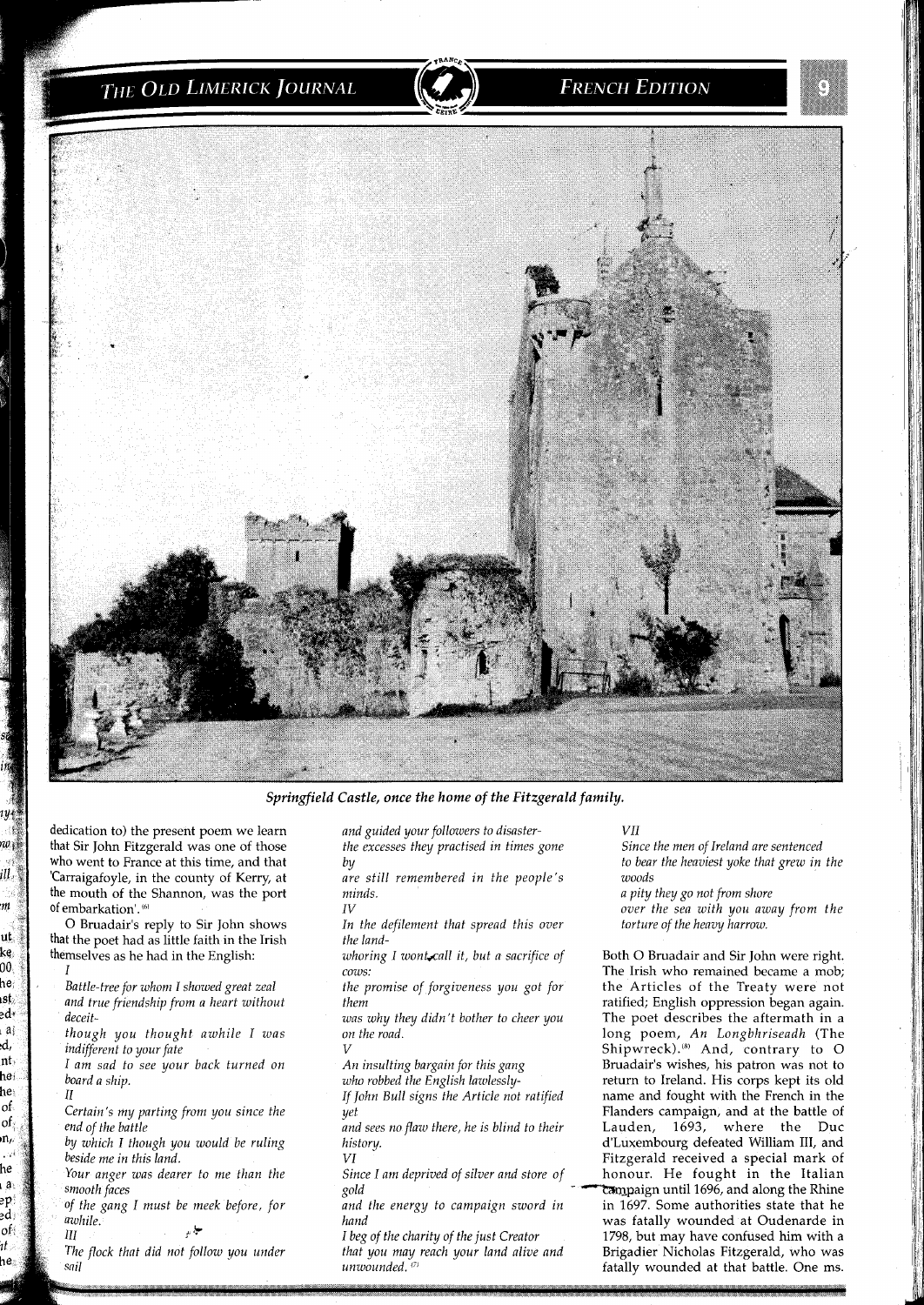## THE OLD LIMERICK JOURNAL

## **FRENCH EDITION**



*Springfield Castle, once the home of the Fitzgerald family.* 

*dedication to) the present poem we learn that Sir John Fitzgerald was one of those who went to France at this time, and that*  'Carraigafoyle, in the county of Kerry, at *the mouth of the Shannon, was the port*  of embarkation'.<sup>(6)</sup>

*0 Bruadair's reply to Sir John shows that the poet had as little faith in the Irish themselves as he had in the English:* 

*I* 

rw ji ill m ut ke  $00$ he, ıst ed∘ i a d, nt, hei he of. of n,

he ı a eр эd

of

ıt

he.

beside me in this land.

*rour anger was dearer to me than the Since I am deprived of silver and store of smooth faces* 

awhile. بيل پر

Ш sail *and guided your followers to disasterthe excesses they practised in times gone by* 

*are still remembered in the people's minds. IV* 

*In the defilement that spread this over the land-*

*whoring I wonbcall it, but a sacrifice of cows:* 

*and sees no flaw there, he is blind to their* 

I beg of the charity of the just Creator The flock that did not follow you under **that you may reach your land alive and** unwounded.<sup>(7)</sup>

*v11* 

*Since the men of Ireland are sentenced to bear the heaviest yoke that grew in the woods* 

*a pity they go not from shore* 

*over the sea with you away from the torture of the heavy harrow.* 

*Both 0 Bruadair and Sir John were right. The Irish who remained became a mob; Battle-tree for whom I showed great zeal* the promise of forgiveness you got for the Articles of the Treaty were not *and true friendship from a heart without* them *hem the m sain. and them a and true friendship from a heart minimal ratified; English oppression began again. deceit- was why they didn't bother to cheer you The poet describes the aftermath in a though you thought awhile I was on the road. long poem, An Longbhriseadh (The indifferent to your fate V Shipwreck).@' And, contrary to 0 I am sad to see your back turned on* An insulting bargain for this gang Bruadair's wishes, his patron was not to board a ship.<br>
board a ship. Who robbed the English lawlessly- return to Ireland. His corps kept its old who robbed the English lawlessly- return to Ireland. His corps kept its old *If John Bull signs the Article not ratified* name and fought with the French in the *Certain's my parting from you since the yet yet yet* Flanders campaign, and at the battle of *end of the battle of and sees no flaw there, he is blind to their* Lauden, 1693, where the Duc by which I though you would be ruling history. history and the set of the dividend and dividend William III, and *V1 Fitzgerald received a special mark of*   $\tau$ ampaign until 1696, and along the Rhine *the gang I must be meek before, for and the energy to campaign sword in in* 1697. *Some authorities state that he hand was fatally wounded at Oudenarde in*  1798, but may have confused him with a Brigadier Nicholas Fitzgerald, who was fatally wounded at that battle. One ms.